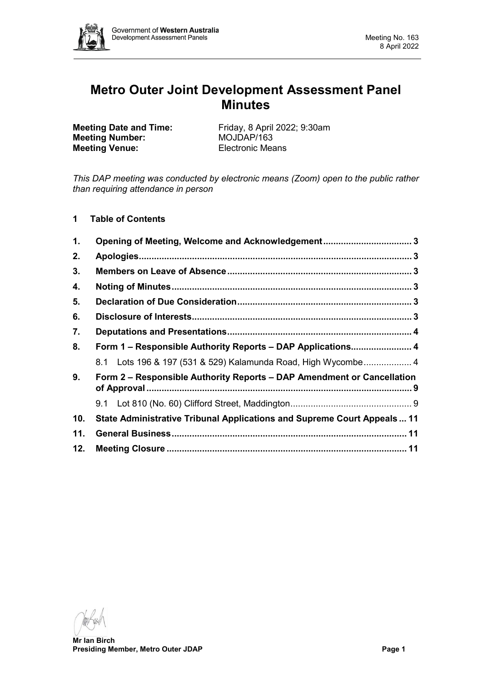

# **Metro Outer Joint Development Assessment Panel Minutes**

**Meeting Number: Meeting Venue:** Electronic Means

**Meeting Date and Time:** Friday, 8 April 2022; 9:30am<br> **Meeting Number:** MOJDAP/163

*This DAP meeting was conducted by electronic means (Zoom) open to the public rather than requiring attendance in person*

**1 Table of Contents**

| $\mathbf 1$ .  | Opening of Meeting, Welcome and Acknowledgement 3                              |  |
|----------------|--------------------------------------------------------------------------------|--|
| 2.             |                                                                                |  |
| 3.             |                                                                                |  |
| 4.             |                                                                                |  |
| 5.             |                                                                                |  |
| 6.             |                                                                                |  |
| 7.             |                                                                                |  |
| 8.             | Form 1 - Responsible Authority Reports - DAP Applications 4                    |  |
|                | 8.1 Lots 196 & 197 (531 & 529) Kalamunda Road, High Wycombe 4                  |  |
| 9 <sub>1</sub> | Form 2 – Responsible Authority Reports – DAP Amendment or Cancellation         |  |
|                |                                                                                |  |
| 10.            | <b>State Administrative Tribunal Applications and Supreme Court Appeals 11</b> |  |
| 11.            |                                                                                |  |
| 12.            |                                                                                |  |

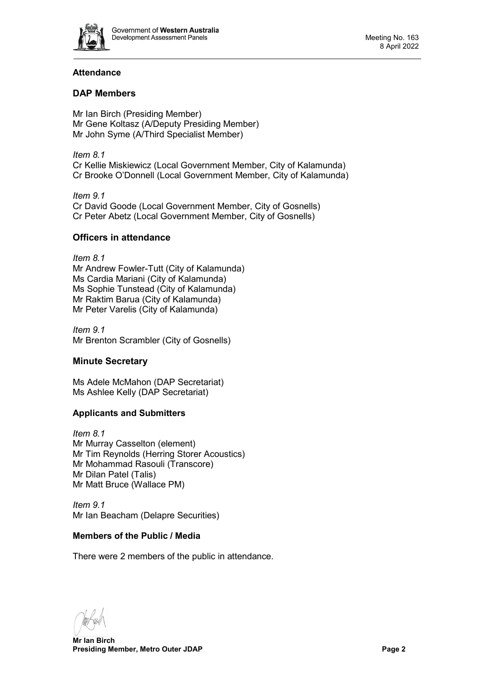

# **Attendance**

# **DAP Members**

Mr Ian Birch (Presiding Member) Mr Gene Koltasz (A/Deputy Presiding Member) Mr John Syme (A/Third Specialist Member)

*Item 8.1* Cr Kellie Miskiewicz (Local Government Member, City of Kalamunda) Cr Brooke O'Donnell (Local Government Member, City of Kalamunda)

*Item 9.1* Cr David Goode (Local Government Member, City of Gosnells) Cr Peter Abetz (Local Government Member, City of Gosnells)

# **Officers in attendance**

*Item 8.1* Mr Andrew Fowler-Tutt (City of Kalamunda) Ms Cardia Mariani (City of Kalamunda) Ms Sophie Tunstead (City of Kalamunda) Mr Raktim Barua (City of Kalamunda) Mr Peter Varelis (City of Kalamunda)

*Item 9.1* Mr Brenton Scrambler (City of Gosnells)

# **Minute Secretary**

Ms Adele McMahon (DAP Secretariat) Ms Ashlee Kelly (DAP Secretariat)

# **Applicants and Submitters**

*Item 8.1* Mr Murray Casselton (element) Mr Tim Reynolds (Herring Storer Acoustics) Mr Mohammad Rasouli (Transcore) Mr Dilan Patel (Talis) Mr Matt Bruce (Wallace PM)

*Item 9.1* Mr Ian Beacham (Delapre Securities)

# **Members of the Public / Media**

There were 2 members of the public in attendance.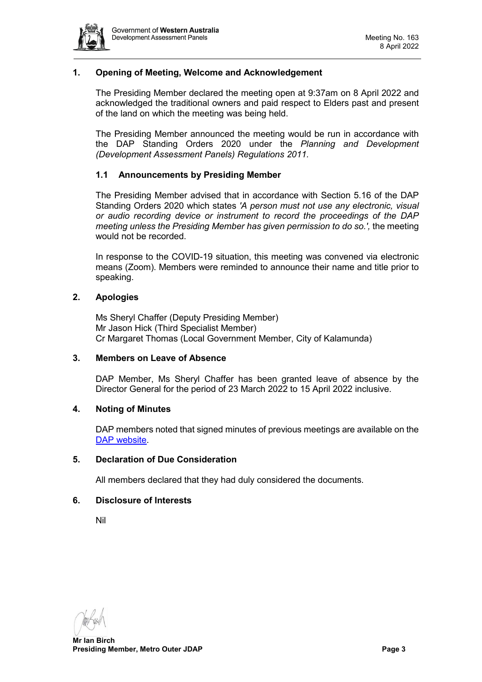

# <span id="page-2-0"></span>**1. Opening of Meeting, Welcome and Acknowledgement**

The Presiding Member declared the meeting open at 9:37am on 8 April 2022 and acknowledged the traditional owners and paid respect to Elders past and present of the land on which the meeting was being held.

The Presiding Member announced the meeting would be run in accordance with the DAP Standing Orders 2020 under the *Planning and Development (Development Assessment Panels) Regulations 2011.*

# **1.1 Announcements by Presiding Member**

The Presiding Member advised that in accordance with Section 5.16 of the DAP Standing Orders 2020 which states *'A person must not use any electronic, visual or audio recording device or instrument to record the proceedings of the DAP meeting unless the Presiding Member has given permission to do so.',* the meeting would not be recorded.

In response to the COVID-19 situation, this meeting was convened via electronic means (Zoom). Members were reminded to announce their name and title prior to speaking.

# <span id="page-2-1"></span>**2. Apologies**

Ms Sheryl Chaffer (Deputy Presiding Member) Mr Jason Hick (Third Specialist Member) Cr Margaret Thomas (Local Government Member, City of Kalamunda)

# <span id="page-2-2"></span>**3. Members on Leave of Absence**

DAP Member, Ms Sheryl Chaffer has been granted leave of absence by the Director General for the period of 23 March 2022 to 15 April 2022 inclusive.

#### <span id="page-2-3"></span>**4. Noting of Minutes**

DAP members noted that signed minutes of previous meetings are available on the [DAP website.](https://www.dplh.wa.gov.au/about/development-assessment-panels/daps-agendas-and-minutes)

#### <span id="page-2-4"></span>**5. Declaration of Due Consideration**

All members declared that they had duly considered the documents.

# <span id="page-2-5"></span>**6. Disclosure of Interests**

Nil

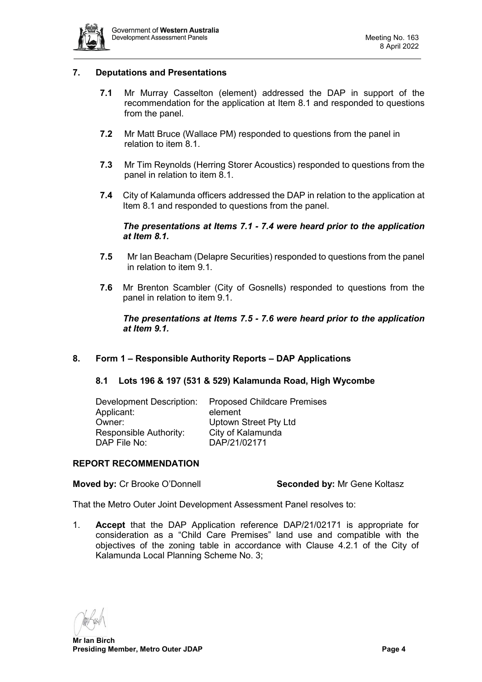

# <span id="page-3-0"></span>**7. Deputations and Presentations**

- **7.1** Mr Murray Casselton (element) addressed the DAP in support of the recommendation for the application at Item 8.1 and responded to questions from the panel.
- **7.2** Mr Matt Bruce (Wallace PM) responded to questions from the panel in relation to item 8.1.
- **7.3** Mr Tim Reynolds (Herring Storer Acoustics) responded to questions from the panel in relation to item 8.1.
- **7.4** City of Kalamunda officers addressed the DAP in relation to the application at Item 8.1 and responded to questions from the panel.

#### *The presentations at Items 7.1 - 7.4 were heard prior to the application at Item 8.1.*

- **7.5** Mr Ian Beacham (Delapre Securities) responded to questions from the panel in relation to item 9.1.
- **7.6** Mr Brenton Scambler (City of Gosnells) responded to questions from the panel in relation to item 9.1.

# *The presentations at Items 7.5 - 7.6 were heard prior to the application at Item 9.1.*

# <span id="page-3-2"></span><span id="page-3-1"></span>**8. Form 1 – Responsible Authority Reports – DAP Applications**

#### **8.1 Lots 196 & 197 (531 & 529) Kalamunda Road, High Wycombe**

| <b>Proposed Childcare Premises</b> |
|------------------------------------|
| element                            |
| <b>Uptown Street Pty Ltd</b>       |
| City of Kalamunda                  |
| DAP/21/02171                       |
|                                    |

#### **REPORT RECOMMENDATION**

### **Moved by:** Cr Brooke O'Donnell **Seconded by:** Mr Gene Koltasz

That the Metro Outer Joint Development Assessment Panel resolves to:

1. **Accept** that the DAP Application reference DAP/21/02171 is appropriate for consideration as a "Child Care Premises" land use and compatible with the objectives of the zoning table in accordance with Clause 4.2.1 of the City of Kalamunda Local Planning Scheme No. 3;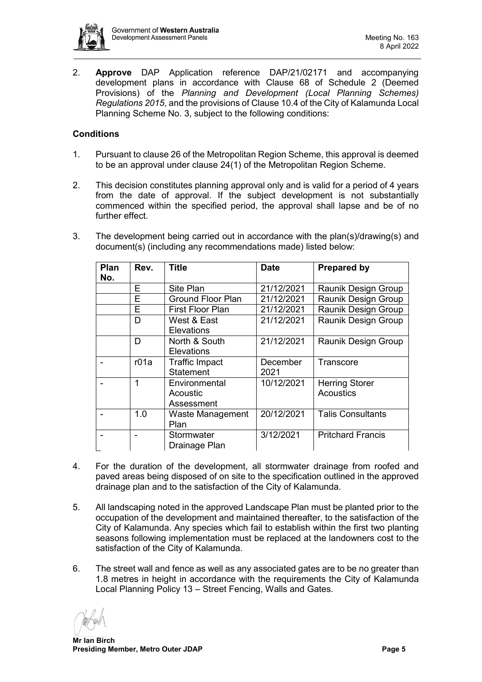

2. **Approve** DAP Application reference DAP/21/02171 and accompanying development plans in accordance with Clause 68 of Schedule 2 (Deemed Provisions) of the *Planning and Development (Local Planning Schemes) Regulations 2015*, and the provisions of Clause 10.4 of the City of Kalamunda Local Planning Scheme No. 3, subject to the following conditions:

# **Conditions**

- 1. Pursuant to clause 26 of the Metropolitan Region Scheme, this approval is deemed to be an approval under clause 24(1) of the Metropolitan Region Scheme.
- 2. This decision constitutes planning approval only and is valid for a period of 4 years from the date of approval. If the subject development is not substantially commenced within the specified period, the approval shall lapse and be of no further effect.
- 3. The development being carried out in accordance with the plan(s)/drawing(s) and document(s) (including any recommendations made) listed below:

| Plan<br>No. | Rev. | <b>Title</b>             | <b>Date</b> | <b>Prepared by</b>       |
|-------------|------|--------------------------|-------------|--------------------------|
|             | Е    | Site Plan                | 21/12/2021  | Raunik Design Group      |
|             | E    | <b>Ground Floor Plan</b> | 21/12/2021  | Raunik Design Group      |
|             | E    | <b>First Floor Plan</b>  | 21/12/2021  | Raunik Design Group      |
|             | D    | West & East              | 21/12/2021  | Raunik Design Group      |
|             |      | Elevations               |             |                          |
|             | D    | North & South            | 21/12/2021  | Raunik Design Group      |
|             |      | <b>Elevations</b>        |             |                          |
|             | r01a | <b>Traffic Impact</b>    | December    | Transcore                |
|             |      | <b>Statement</b>         | 2021        |                          |
|             | 1    | Environmental            | 10/12/2021  | <b>Herring Storer</b>    |
|             |      | Acoustic                 |             | <b>Acoustics</b>         |
|             |      | Assessment               |             |                          |
|             | 1.0  | Waste Management         | 20/12/2021  | <b>Talis Consultants</b> |
|             |      | Plan                     |             |                          |
|             |      | Stormwater               | 3/12/2021   | <b>Pritchard Francis</b> |
|             |      | Drainage Plan            |             |                          |

- 4. For the duration of the development, all stormwater drainage from roofed and paved areas being disposed of on site to the specification outlined in the approved drainage plan and to the satisfaction of the City of Kalamunda.
- 5. All landscaping noted in the approved Landscape Plan must be planted prior to the occupation of the development and maintained thereafter, to the satisfaction of the City of Kalamunda. Any species which fail to establish within the first two planting seasons following implementation must be replaced at the landowners cost to the satisfaction of the City of Kalamunda.
- 6. The street wall and fence as well as any associated gates are to be no greater than 1.8 metres in height in accordance with the requirements the City of Kalamunda Local Planning Policy 13 – Street Fencing, Walls and Gates.

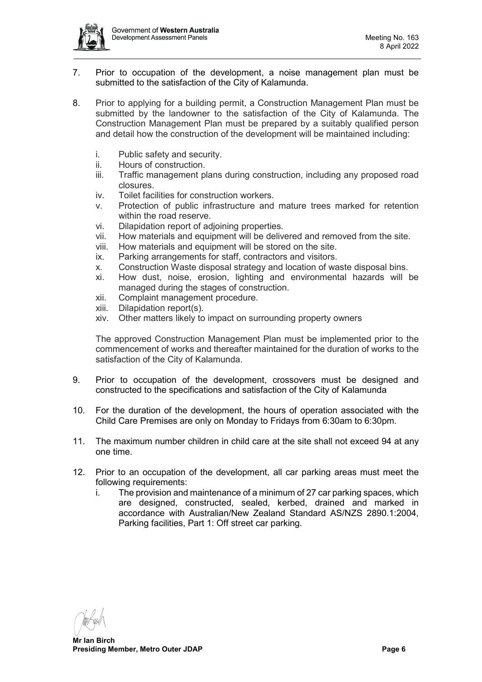

- 7. Prior to occupation of the development, a noise management plan must be submitted to the satisfaction of the City of Kalamunda.
- 8. Prior to applying for a building permit, a Construction Management Plan must be submitted by the landowner to the satisfaction of the City of Kalamunda. The Construction Management Plan must be prepared by a suitably qualified person and detail how the construction of the development will be maintained including:
	- i. Public safety and security.<br>ii. Hours of construction.
	- Hours of construction.
	- iii. Traffic management plans during construction, including any proposed road closures.
	- iv. Toilet facilities for construction workers.
	- v. Protection of public infrastructure and mature trees marked for retention within the road reserve.
	- vi. Dilapidation report of adjoining properties.
	- vii. How materials and equipment will be delivered and removed from the site.
	- viii. How materials and equipment will be stored on the site.
	- ix. Parking arrangements for staff, contractors and visitors.
	- x. Construction Waste disposal strategy and location of waste disposal bins.
	- xi. How dust, noise, erosion, lighting and environmental hazards will be managed during the stages of construction.
	- xii. Complaint management procedure.<br>xiii Dilapidation report(s)
	- Dilapidation report(s).
	- xiv. Other matters likely to impact on surrounding property owners

The approved Construction Management Plan must be implemented prior to the commencement of works and thereafter maintained for the duration of works to the satisfaction of the City of Kalamunda.

- 9. Prior to occupation of the development, crossovers must be designed and constructed to the specifications and satisfaction of the City of Kalamunda
- 10. For the duration of the development, the hours of operation associated with the Child Care Premises are only on Monday to Fridays from 6:30am to 6:30pm.
- 11. The maximum number children in child care at the site shall not exceed 94 at any one time.
- 12. Prior to an occupation of the development, all car parking areas must meet the following requirements:
	- i. The provision and maintenance of a minimum of 27 car parking spaces, which are designed, constructed, sealed, kerbed, drained and marked in accordance with Australian/New Zealand Standard AS/NZS 2890.1:2004, Parking facilities, Part 1: Off street car parking.

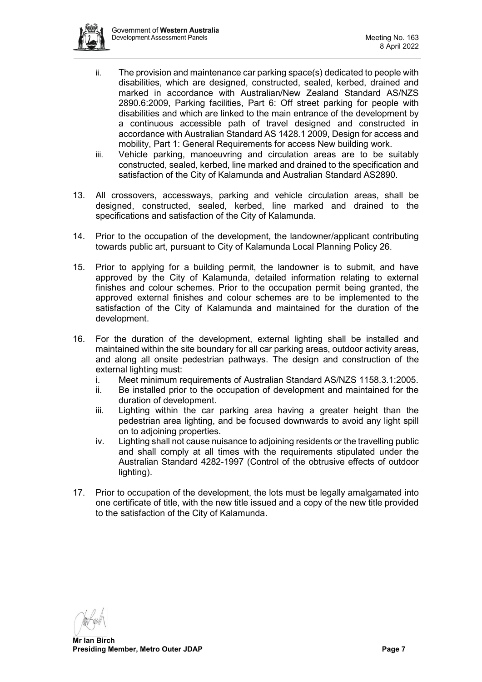

- ii. The provision and maintenance car parking space(s) dedicated to people with disabilities, which are designed, constructed, sealed, kerbed, drained and marked in accordance with Australian/New Zealand Standard AS/NZS 2890.6:2009, Parking facilities, Part 6: Off street parking for people with disabilities and which are linked to the main entrance of the development by a continuous accessible path of travel designed and constructed in accordance with Australian Standard AS 1428.1 2009, Design for access and mobility, Part 1: General Requirements for access New building work.
- iii. Vehicle parking, manoeuvring and circulation areas are to be suitably constructed, sealed, kerbed, line marked and drained to the specification and satisfaction of the City of Kalamunda and Australian Standard AS2890.
- 13. All crossovers, accessways, parking and vehicle circulation areas, shall be designed, constructed, sealed, kerbed, line marked and drained to the specifications and satisfaction of the City of Kalamunda.
- 14. Prior to the occupation of the development, the landowner/applicant contributing towards public art, pursuant to City of Kalamunda Local Planning Policy 26.
- 15. Prior to applying for a building permit, the landowner is to submit, and have approved by the City of Kalamunda, detailed information relating to external finishes and colour schemes. Prior to the occupation permit being granted, the approved external finishes and colour schemes are to be implemented to the satisfaction of the City of Kalamunda and maintained for the duration of the development.
- 16. For the duration of the development, external lighting shall be installed and maintained within the site boundary for all car parking areas, outdoor activity areas, and along all onsite pedestrian pathways. The design and construction of the external lighting must:
	- i. Meet minimum requirements of Australian Standard AS/NZS 1158.3.1:2005.<br>ii. Be installed prior to the occupation of development and maintained for the
	- Be installed prior to the occupation of development and maintained for the duration of development.
	- iii. Lighting within the car parking area having a greater height than the pedestrian area lighting, and be focused downwards to avoid any light spill on to adjoining properties.
	- iv. Lighting shall not cause nuisance to adjoining residents or the travelling public and shall comply at all times with the requirements stipulated under the Australian Standard 4282-1997 (Control of the obtrusive effects of outdoor lighting).
- 17. Prior to occupation of the development, the lots must be legally amalgamated into one certificate of title, with the new title issued and a copy of the new title provided to the satisfaction of the City of Kalamunda.

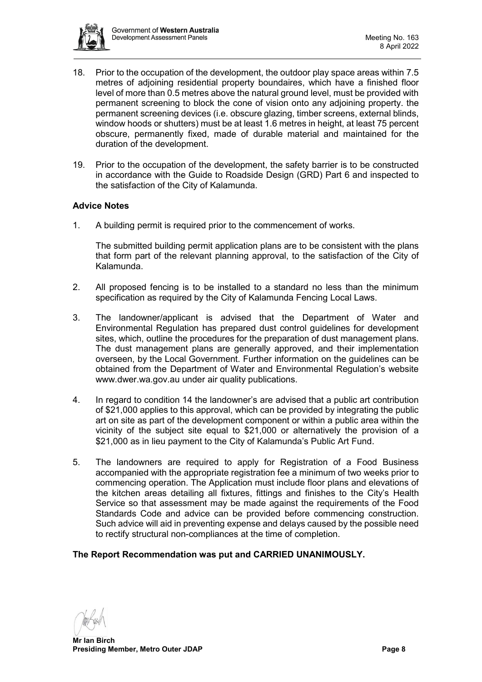

- 18. Prior to the occupation of the development, the outdoor play space areas within 7.5 metres of adjoining residential property boundaires, which have a finished floor level of more than 0.5 metres above the natural ground level, must be provided with permanent screening to block the cone of vision onto any adjoining property. the permanent screening devices (i.e. obscure glazing, timber screens, external blinds, window hoods or shutters) must be at least 1.6 metres in height, at least 75 percent obscure, permanently fixed, made of durable material and maintained for the duration of the development.
- 19. Prior to the occupation of the development, the safety barrier is to be constructed in accordance with the Guide to Roadside Design (GRD) Part 6 and inspected to the satisfaction of the City of Kalamunda.

# **Advice Notes**

1. A building permit is required prior to the commencement of works.

The submitted building permit application plans are to be consistent with the plans that form part of the relevant planning approval, to the satisfaction of the City of Kalamunda.

- 2. All proposed fencing is to be installed to a standard no less than the minimum specification as required by the City of Kalamunda Fencing Local Laws.
- 3. The landowner/applicant is advised that the Department of Water and Environmental Regulation has prepared dust control guidelines for development sites, which, outline the procedures for the preparation of dust management plans. The dust management plans are generally approved, and their implementation overseen, by the Local Government. Further information on the guidelines can be obtained from the Department of Water and Environmental Regulation's website www.dwer.wa.gov.au under air quality publications.
- 4. In regard to condition 14 the landowner's are advised that a public art contribution of \$21,000 applies to this approval, which can be provided by integrating the public art on site as part of the development component or within a public area within the vicinity of the subject site equal to \$21,000 or alternatively the provision of a \$21,000 as in lieu payment to the City of Kalamunda's Public Art Fund.
- 5. The landowners are required to apply for Registration of a Food Business accompanied with the appropriate registration fee a minimum of two weeks prior to commencing operation. The Application must include floor plans and elevations of the kitchen areas detailing all fixtures, fittings and finishes to the City's Health Service so that assessment may be made against the requirements of the Food Standards Code and advice can be provided before commencing construction. Such advice will aid in preventing expense and delays caused by the possible need to rectify structural non-compliances at the time of completion.

#### **The Report Recommendation was put and CARRIED UNANIMOUSLY.**

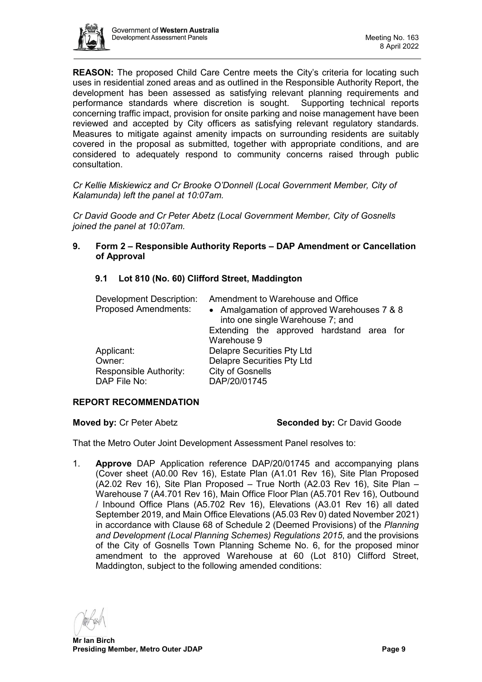

**REASON:** The proposed Child Care Centre meets the City's criteria for locating such uses in residential zoned areas and as outlined in the Responsible Authority Report, the development has been assessed as satisfying relevant planning requirements and performance standards where discretion is sought. Supporting technical reports concerning traffic impact, provision for onsite parking and noise management have been reviewed and accepted by City officers as satisfying relevant regulatory standards. Measures to mitigate against amenity impacts on surrounding residents are suitably covered in the proposal as submitted, together with appropriate conditions, and are considered to adequately respond to community concerns raised through public consultation.

*Cr Kellie Miskiewicz and Cr Brooke O'Donnell (Local Government Member, City of Kalamunda) left the panel at 10:07am.*

*Cr David Goode and Cr Peter Abetz (Local Government Member, City of Gosnells joined the panel at 10:07am.*

# <span id="page-8-0"></span>**9. Form 2 – Responsible Authority Reports – DAP Amendment or Cancellation of Approval**

# <span id="page-8-1"></span>**9.1 Lot 810 (No. 60) Clifford Street, Maddington**

| <b>Development Description:</b><br><b>Proposed Amendments:</b> | Amendment to Warehouse and Office<br>• Amalgamation of approved Warehouses 7 & 8<br>into one single Warehouse 7; and |  |  |
|----------------------------------------------------------------|----------------------------------------------------------------------------------------------------------------------|--|--|
|                                                                | Extending the approved hardstand area for<br>Warehouse 9                                                             |  |  |
| Applicant:                                                     | <b>Delapre Securities Pty Ltd</b>                                                                                    |  |  |
| Owner:                                                         | <b>Delapre Securities Pty Ltd</b>                                                                                    |  |  |
| Responsible Authority:<br>DAP File No:                         | <b>City of Gosnells</b><br>DAP/20/01745                                                                              |  |  |

# **REPORT RECOMMENDATION**

#### **Moved by: Cr Peter Abetz <b>Seconded by: Cr David Goode Seconded by: Cr David Goode**

That the Metro Outer Joint Development Assessment Panel resolves to:

1. **Approve** DAP Application reference DAP/20/01745 and accompanying plans (Cover sheet (A0.00 Rev 16), Estate Plan (A1.01 Rev 16), Site Plan Proposed (A2.02 Rev 16), Site Plan Proposed – True North (A2.03 Rev 16), Site Plan – Warehouse 7 (A4.701 Rev 16), Main Office Floor Plan (A5.701 Rev 16), Outbound / Inbound Office Plans (A5.702 Rev 16), Elevations (A3.01 Rev 16) all dated September 2019, and Main Office Elevations (A5.03 Rev 0) dated November 2021) in accordance with Clause 68 of Schedule 2 (Deemed Provisions) of the *Planning and Development (Local Planning Schemes) Regulations 2015*, and the provisions of the City of Gosnells Town Planning Scheme No. 6, for the proposed minor amendment to the approved Warehouse at 60 (Lot 810) Clifford Street, Maddington, subject to the following amended conditions: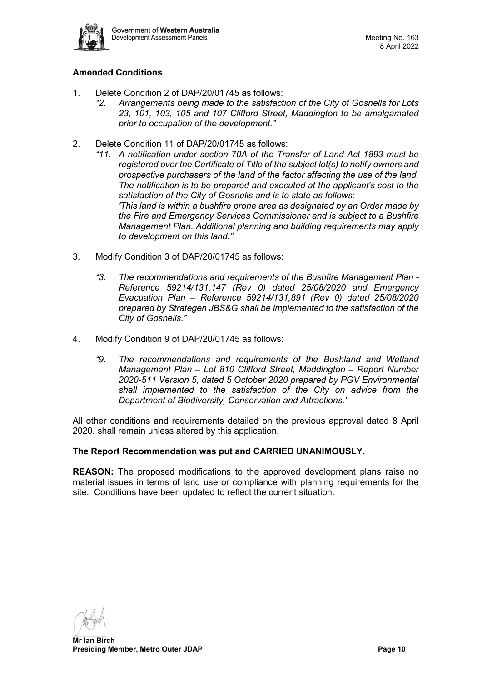

# **Amended Conditions**

- 1. Delete Condition 2 of DAP/20/01745 as follows:
	- *"2. Arrangements being made to the satisfaction of the City of Gosnells for Lots 23, 101, 103, 105 and 107 Clifford Street, Maddington to be amalgamated prior to occupation of the development."*
- 2. Delete Condition 11 of DAP/20/01745 as follows:
	- *"11. A notification under section 70A of the Transfer of Land Act 1893 must be registered over the Certificate of Title of the subject lot(s) to notify owners and prospective purchasers of the land of the factor affecting the use of the land. The notification is to be prepared and executed at the applicant's cost to the satisfaction of the City of Gosnells and is to state as follows: 'This land is within a bushfire prone area as designated by an Order made by the Fire and Emergency Services Commissioner and is subject to a Bushfire Management Plan. Additional planning and building requirements may apply to development on this land."*
- 3. Modify Condition 3 of DAP/20/01745 as follows:
	- *"3. The recommendations and requirements of the Bushfire Management Plan - Reference 59214/131,147 (Rev 0) dated 25/08/2020 and Emergency Evacuation Plan – Reference 59214/131,891 (Rev 0) dated 25/08/2020 prepared by Strategen JBS&G shall be implemented to the satisfaction of the City of Gosnells."*
- 4. Modify Condition 9 of DAP/20/01745 as follows:
	- *"9. The recommendations and requirements of the Bushland and Wetland Management Plan – Lot 810 Clifford Street, Maddington – Report Number 2020-511 Version 5, dated 5 October 2020 prepared by PGV Environmental shall implemented to the satisfaction of the City on advice from the Department of Biodiversity, Conservation and Attractions."*

All other conditions and requirements detailed on the previous approval dated 8 April 2020. shall remain unless altered by this application.

### **The Report Recommendation was put and CARRIED UNANIMOUSLY.**

**REASON:** The proposed modifications to the approved development plans raise no material issues in terms of land use or compliance with planning requirements for the site. Conditions have been updated to reflect the current situation.